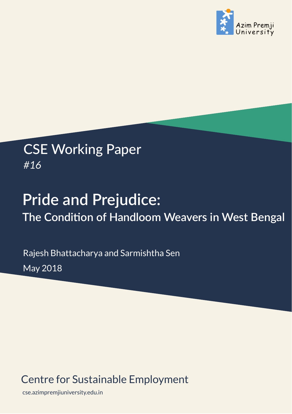

## CSE Working Paper *#16*

# **Pride and Prejudice: The Conditon of Handloom Weavers in West Bengal**

Rajesh Bhattacharya and Sarmishtha Sen May 2018

## Centre for Sustainable Employment

cse.azimpremjiuniversity.edu.in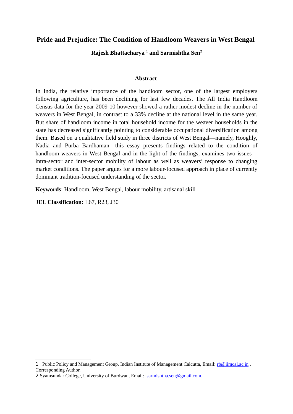#### **Pride and Prejudice: The Condition of Handloom Weavers in West Bengal**

**Rajesh Bhattacharya 1 and Sarmishtha Sen2**

#### **Abstract**

In India, the relative importance of the handloom sector, one of the largest employers following agriculture, has been declining for last few decades. The All India Handloom Census data for the year 2009-10 however showed a rather modest decline in the number of weavers in West Bengal, in contrast to a 33% decline at the national level in the same year. But share of handloom income in total household income for the weaver households in the state has decreased significantly pointing to considerable occupational diversification among them. Based on a qualitative field study in three districts of West Bengal—namely, Hooghly, Nadia and Purba Bardhaman—this essay presents findings related to the condition of handloom weavers in West Bengal and in the light of the findings, examines two issues intra-sector and inter-sector mobility of labour as well as weavers' response to changing market conditions. The paper argues for a more labour-focused approach in place of currently dominant tradition-focused understanding of the sector.

**Keywords**: Handloom, West Bengal, labour mobility, artisanal skill

**JEL Classification:** L67, R23, J30

<sup>1</sup> Public Policy and Management Group, Indian Institute of Management Calcutta, Email:  $rb@iimcal.ac.in$ . Corresponding Author.

<sup>2</sup> Syamsundar College, University of Burdwan, Email: sarmishtha.sen@gmail.com.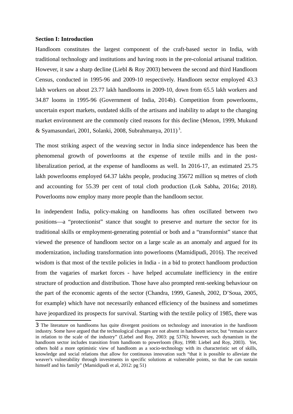#### **Section I: Introduction**

Handloom constitutes the largest component of the craft-based sector in India, with traditional technology and institutions and having roots in the pre-colonial artisanal tradition. However, it saw a sharp decline (Liebl & Roy 2003) between the second and third Handloom Census, conducted in 1995-96 and 2009-10 respectively. Handloom sector employed 43.3 lakh workers on about 23.77 lakh handlooms in 2009-10, down from 65.5 lakh workers and 34.87 looms in 1995-96 (Government of India, 2014b). Competition from powerlooms, uncertain export markets, outdated skills of the artisans and inability to adapt to the changing market environment are the commonly cited reasons for this decline (Menon, 1999, Mukund & Syamasundari, 2001, Solanki, 2008, Subrahmanya, 2011)<sup>3</sup>.

The most striking aspect of the weaving sector in India since independence has been the phenomenal growth of powerlooms at the expense of textile mills and in the postliberalization period, at the expense of handlooms as well. In 2016-17, an estimated 25.75 lakh powerlooms employed 64.37 lakhs people, producing 35672 million sq metres of cloth and accounting for 55.39 per cent of total cloth production (Lok Sabha, 2016a; 2018). Powerlooms now employ many more people than the handloom sector.

In independent India, policy-making on handlooms has often oscillated between two positions—a "protectionist" stance that sought to preserve and nurture the sector for its traditional skills or employment-generating potential or both and a "transformist" stance that viewed the presence of handloom sector on a large scale as an anomaly and argued for its modernization, including transformation into powerlooms (Mamidipudi, 2016). The received wisdom is that most of the textile policies in India - in a bid to protect handloom production from the vagaries of market forces - have helped accumulate inefficiency in the entire structure of production and distribution. Those have also prompted rent-seeking behaviour on the part of the economic agents of the sector (Chandra, 1999, Ganesh, 2002, D'Soua, 2005, for example) which have not necessarily enhanced efficiency of the business and sometimes have jeopardized its prospects for survival. Starting with the textile policy of 1985, there was

<sup>3</sup> The literature on handlooms has quite divergent positions on technology and innovation in the handloom industry. Some have argued that the technological changes are not absent in handloom sector, but "remain scarce in relation to the scale of the industry" (Liebel and Roy, 2003: pg 5376); however, such dynamism in the handloom sector includes transition from handloom to powerloom (Roy, 1998: Liebel and Roy, 2003). Yet, others hold a more optimistic view of handloom as a socio-technology with its characteristic set of skills, knowledge and social relations that allow for continuous innovation such "that it is possible to alleviate the weaver's vulnerability through investments in specific solutions at vulnerable points, so that he can sustain himself and his family" (Mamidipudi et al, 2012: pg 51)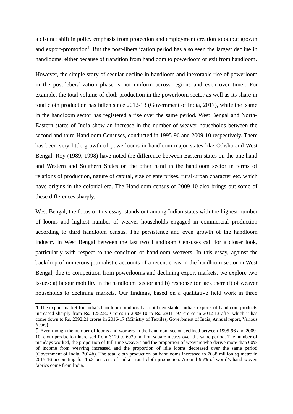a distinct shift in policy emphasis from protection and employment creation to output growth and export-promotion<sup>4</sup>. But the post-liberalization period has also seen the largest decline in handlooms, either because of transition from handloom to powerloom or exit from handloom.

However, the simple story of secular decline in handloom and inexorable rise of powerloom in the post-leberalization phase is not uniform across regions and even over time<sup>5</sup>. For example, the total volume of cloth production in the powerloom sector as well as its share in total cloth production has fallen since 2012-13 (Government of India, 2017), while the same in the handloom sector has registered a rise over the same period. West Bengal and North-Eastern states of India show an increase in the number of weaver households between the second and third Handloom Censuses, conducted in 1995-96 and 2009-10 respectively. There has been very little growth of powerlooms in handloom-major states like Odisha and West Bengal. Roy (1989, 1998) have noted the difference between Eastern states on the one hand and Western and Southern States on the other hand in the handloom sector in terms of relations of production, nature of capital, size of enterprises, rural-urban character etc. which have origins in the colonial era. The Handloom census of 2009-10 also brings out some of these differences sharply.

West Bengal, the focus of this essay, stands out among Indian states with the highest number of looms and highest number of weaver households engaged in commercial production according to third handloom census. The persistence and even growth of the handloom industry in West Bengal between the last two Handloom Censuses call for a closer look, particularly with respect to the condition of handloom weavers. In this essay, against the backdrop of numerous journalistic accounts of a recent crisis in the handloom sector in West Bengal, due to competition from powerlooms and declining export markets, we explore two issues: a) labour mobility in the handloom sector and b) response (or lack thereof) of weaver households to declining markets. Our findings, based on a qualitative field work in three

<sup>4</sup> The export market for India's handloom products has not been stable. India's exports of handloom products increased sharply from Rs. 1252.80 Crores in 2009-10 to Rs. 28111.97 crores in 2012-13 after which it has come down to Rs. 2392.21 crores in 2016-17 (Ministry of Textiles, Goverbment of India, Annual report, Various Years)

<sup>5</sup> Even though the number of looms and workers in the handloom sector declined between 1995-96 and 2009- 10, cloth production increased from 3120 to 6930 million square metres over the same period. The number of mandays worked, the proportion of full-time weavers and the proportion of weavers who derive more than 60% of income from weaving increased and the proportion of idle looms decreased over the same period (Government of India, 2014b). The total cloth production on handlooms increased to 7638 million sq metre in 2015-16 accounting for 15.3 per cent of India's total cloth production. Around 95% of world's hand woven fabrics come from India.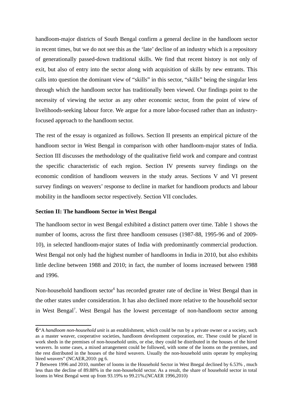handloom-major districts of South Bengal confirm a general decline in the handloom sector in recent times, but we do not see this as the 'late' decline of an industry which is a repository of generationally passed-down traditional skills. We find that recent history is not only of exit, but also of entry into the sector along with acquisition of skills by new entrants. This calls into question the dominant view of "skills" in this sector, "skills" being the singular lens through which the handloom sector has traditionally been viewed. Our findings point to the necessity of viewing the sector as any other economic sector, from the point of view of livelihoods-seeking labour force. We argue for a more labor-focused rather than an industryfocused approach to the handloom sector.

The rest of the essay is organized as follows. Section II presents an empirical picture of the handloom sector in West Bengal in comparison with other handloom-major states of India. Section III discusses the methodology of the qualitative field work and compare and contrast the specific characteristic of each region. Section IV presents survey findings on the economic condition of handloom weavers in the study areas. Sections V and VI present survey findings on weavers' response to decline in market for handloom products and labour mobility in the handloom sector respectively. Section VII concludes.

#### **Section II: The handloom Sector in West Bengal**

The handloom sector in west Bengal exhibited a distinct pattern over time. Table 1 shows the number of looms, across the first three handloom censuses (1987-88, 1995-96 and of 2009- 10), in selected handloom-major states of India with predominantly commercial production. West Bengal not only had the highest number of handlooms in India in 2010, but also exhibits little decline between 1988 and 2010; in fact, the number of looms increased between 1988 and 1996.

Non-household handloom sector<sup>6</sup> has recorded greater rate of decline in West Bengal than in the other states under consideration. It has also declined more relative to the household sector in West Bengal<sup>7</sup>. West Bengal has the lowest percentage of non-handloom sector among

<sup>6</sup>"A *handloom non-household unit* is an establishment, which could be run by a private owner or a society, such as a master weaver, cooperative societies, handloom development corporation, etc. These could be placed in work sheds in the premises of non-household units, or else, they could be distributed in the houses of the hired weavers. In some cases, a mixed arrangement could be followed, with some of the looms on the premises, and the rest distributed in the houses of the hired weavers. Usually the non-household units operate by employing hired weavers" (NCAER, 2010: pg 6.

<sup>7</sup> Between 1996 and 2010, number of looms in the Household Sector in West Bnegal declined by 6.53% , much less than the decline of 89.88% in the non-household sector. As a result, the share of household sector in total looms in West Bengal went up from 93.19% to 99.21%.(NCAER 1996,2010)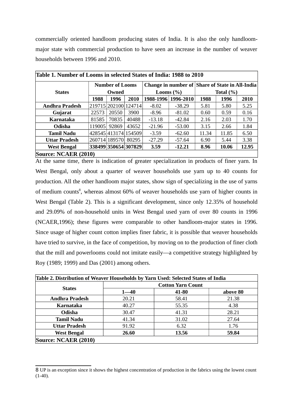commercially oriented handloom producing states of India. It is also the only handloommajor state with commercial production to have seen an increase in the number of weaver households between 1996 and 2010.

| Table 1. Number of Looms in selected States of India: 1988 to 2010 |                        |               |                      |          |                                                 |       |       |       |
|--------------------------------------------------------------------|------------------------|---------------|----------------------|----------|-------------------------------------------------|-------|-------|-------|
|                                                                    | <b>Number of Looms</b> |               |                      |          | Change in number of Share of State in All-India |       |       |       |
| <b>States</b>                                                      | Owned                  |               | Looms $(\%)$         |          | Total $(\% )$                                   |       |       |       |
|                                                                    | 1988                   | 1996          | 2010                 |          | 1988-1996 1996-2010                             | 1988  | 1996  | 2010  |
| Andhra Pradesh                                                     |                        |               | 219715 202100 124714 | $-8.02$  | $-38.29$                                        | 5.81  | 5.80  | 5.25  |
| Gujarat                                                            | 22573                  | 20550         | 3900                 | $-8.96$  | $-81.02$                                        | 0.60  | 0.59  | 0.16  |
| Karnataka                                                          | 81585                  | 70835         | 40488                | $-13.18$ | $-42.84$                                        | 2.16  | 2.03  | 1.70  |
| Odisha                                                             | 119005                 | 92869         | 43652                | $-21.96$ | $-53.00$                                        | 3.15  | 2.66  | 1.84  |
| <b>Tamil Nadu</b>                                                  |                        |               | 428545 413174 154509 | $-3.59$  | $-62.60$                                        | 11.34 | 11.85 | 6.50  |
| <b>Uttar Pradesh</b>                                               |                        | 260714 189570 | 80295                | $-27.29$ | -57.64                                          | 6.90  | 5.44  | 3.38  |
| <b>West Bengal</b>                                                 |                        |               | 338499 350654 307829 | 3.59     | $-12.21$                                        | 8.96  | 10.06 | 12.95 |
| Source: NCAER (2010)                                               |                        |               |                      |          |                                                 |       |       |       |

At the same time, there is indication of greater specialization in products of finer yarn. In West Bengal, only about a quarter of weaver households use yarn up to 40 counts for production. All the other handloom major states, show sign of specializing in the use of yarns of medium counts<sup>8</sup>, whereas almost 60% of weaver households use yarn of higher counts in West Bengal (Table 2). This is a significant development, since only 12.35% of household and 29.09% of non-household units in West Bengal used yarn of over 80 counts in 1996 (NCAER,1996); these figures were comparable to other handloom-major states in 1996. Since usage of higher count cotton implies finer fabric, it is possible that weaver households have tried to survive, in the face of competition, by moving on to the production of finer cloth that the mill and powerlooms could not imitate easily—a competitive strategy highlighted by Roy (1989; 1999) and Das (2001) among others.

|                      | <b>Cotton Yarn Count</b> |       |          |  |  |  |
|----------------------|--------------------------|-------|----------|--|--|--|
| <b>States</b>        | $1 - 40$                 | 41-80 | above 80 |  |  |  |
| Andhra Pradesh       | 20.21                    | 58.41 | 21.38    |  |  |  |
| <b>Karnataka</b>     | 40.27                    | 55.35 | 4.38     |  |  |  |
| Odisha               | 30.47                    | 41.31 | 28.21    |  |  |  |
| <b>Tamil Nadu</b>    | 41.34                    | 31.02 | 27.64    |  |  |  |
| <b>Uttar Pradesh</b> | 91.92                    | 6.32  | 1.76     |  |  |  |
| <b>West Bengal</b>   | 26.60                    | 13.56 | 59.84    |  |  |  |
| Source: NCAER (2010) |                          |       |          |  |  |  |

<sup>8</sup> UP is an exception since it shows the highest concentration of production in the fabrics using the lowest count  $(1-40)$ .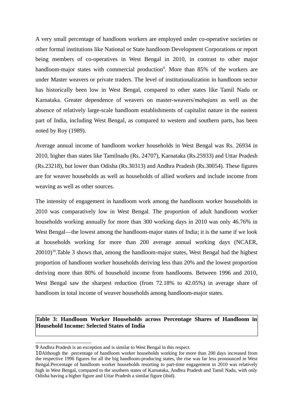A very small percentage of handloom workers are employed under co-operative societies or other formal institutions like National or State handloom Development Corporations or report being members of co-operatives in West Bengal in 2010, in contrast to other major handloom-major states with commercial production<sup>9</sup>. More than 85% of the workers are under Master weavers or private traders. The level of institutionalization in handloom sector has historically been low in West Bengal, compared to other states like Tamil Nadu or Karnataka. Greater dependence of weavers on master-weavers/*mahajans* as well as the absence of relatively large-scale handloom establishments of capitalist nature in the eastern part of India, including West Bengal, as compared to western and southern parts, has been noted by Roy (1989).

Average annual income of handloom worker households in West Bengal was Rs. 26934 in 2010, higher than states like Tamilnadu (Rs. 24707), Karnataka (Rs.25933) and Uttar Pradesh (Rs.23218), but lower than Odisha (Rs.30313) and Andhra Pradesh (Rs.30054). These figures are for weaver households as well as households of allied workers and include income from weaving as well as other sources.

The intensity of engagement in handloom work among the handloom worker households in 2010 was comparatively low in West Bengal. The proportion of adult handloom worker households working annually for more than 300 working days in 2010 was only 46.76% in West Bengal—the lowest among the handloom-major states of India; it is the same if we look at households working for more than 200 average annual working days (NCAER,  $20010$ <sup>10</sup>.Table 3 shows that, among the handloom-major states, West Bengal had the highest proportion of handloom worker households deriving less than 20% and the lowest proportion deriving more than 80% of household income from handlooms. Between 1996 and 2010, West Bengal saw the sharpest reduction (from 72.18% to 42.05%) in average share of handloom in total income of weaver households among handloom-major states.

**Table 3: Handloom Worker Households across Percentage Shares of Handloom in Household Income: Selected States of India**

<sup>9</sup> Andhra Pradesh is an exception and is similar to West Bengal in this respect.

<sup>10</sup>Although the percentage of handloom worker households working for more than 200 days increased from the respective 1996 figures for all the big handloom-producing states, the rise was far less pronounced in West Bengal.Percentage of handloom worker households resorting to part-time engagement in 2010 was relatively high in West Bengal, compared to the southern states of Karnataka, Andhra Pradesh and Tamil Nadu, with only Odisha having a higher figure and Uttar Pradesh a similar figure (ibid).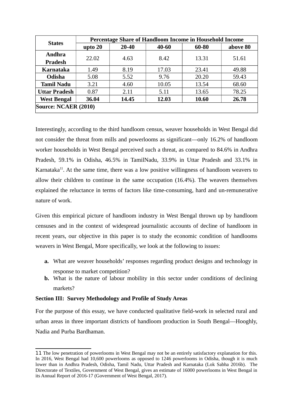| <b>States</b>        | Percentage Share of Handloom Income in Household Income |           |           |       |          |  |  |
|----------------------|---------------------------------------------------------|-----------|-----------|-------|----------|--|--|
|                      | upto 20                                                 | $20 - 40$ | $40 - 60$ | 60-80 | above 80 |  |  |
| Andhra               |                                                         |           | 8.42      |       |          |  |  |
| Pradesh              | 22.02                                                   | 4.63      |           | 13.31 | 51.61    |  |  |
| Karnataka            | 1.49                                                    | 8.19      | 17.03     | 23.41 | 49.88    |  |  |
| Odisha               | 5.08                                                    | 5.52      | 9.76      | 20.20 | 59.43    |  |  |
| <b>Tamil Nadu</b>    | 3.21                                                    | 4.60      | 10.05     | 13.54 | 68.60    |  |  |
| <b>Uttar Pradesh</b> | 0.87                                                    | 2.11      | 5.11      | 13.65 | 78.25    |  |  |
| <b>West Bengal</b>   | 36.04                                                   | 14.45     | 12.03     | 10.60 | 26.78    |  |  |
| Source: NCAER (2010) |                                                         |           |           |       |          |  |  |

Interestingly, according to the third handloom census, weaver households in West Bengal did not consider the threat from mills and powerlooms as significant—only 16.2% of handloom worker households in West Bengal perceived such a threat, as compared to 84.6% in Andhra Pradesh, 59.1% in Odisha, 46.5% in TamilNadu, 33.9% in Uttar Pradesh and 33.1% in Karnataka $^{11}$ . At the same time, there was a low positive willingness of handloom weavers to allow their children to continue in the same occupation (16.4%). The weavers themselves explained the reluctance in terms of factors like time-consuming, hard and un-remunerative nature of work.

Given this empirical picture of handloom industry in West Bengal thrown up by handloom censuses and in the context of widespread journalistic accounts of decline of handloom in recent years, our objective in this paper is to study the economic condition of handlooms weavers in West Bengal, More specifically, we look at the following to issues:

- **a.** What are weaver households' responses regarding product designs and technology in response to market competition?
- **b.** What is the nature of labour mobility in this sector under conditions of declining markets?

#### **Section III: Survey Methodology and Profile of Study Areas**

For the purpose of this essay, we have conducted qualitative field-work in selected rural and urban areas in three important districts of handloom production in South Bengal—Hooghly, Nadia and Purba Bardhaman.

<sup>11</sup> The low penetration of powerlooms in West Bengal may not be an entirely satisfactory explanation for this. In 2016, West Bengal had 10,600 powerlooms as opposed to 1246 powerlooms in Odisha, though it is much lower than in Andhra Pradesh, Odisha, Tamil Nadu, Uttar Pradesh and Karnataka (Lok Sabha 2016b). The Directorate of Textiles, Government of West Bengal, gives an estimate of 16000 powerlooms in West Bengal in its Annual Report of 2016-17 (Government of West Bengal, 2017).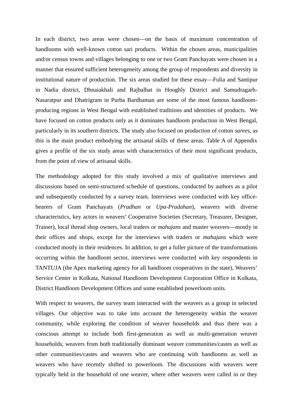In each district, two areas were chosen—on the basis of maximum concentration of handlooms with well-known cotton sari products. Within the chosen areas, municipalities and/or census towns and villages belonging to one or two Gram Panchayats were chosen in a manner that ensured sufficient heterogeneity among the group of respondents and diversity in institutional nature of production. The six areas studied for these essay—Fulia and Santipur in Nadia district, Dhnaiakhali and Rajbalhat in Hooghly District and Samudragarh-Nasaratpur and Dhatrigram in Purba Bardhaman are some of the most famous handloomproducing regions in West Bengal with established traditions and identities of products. We have focused on cotton products only as it dominates handloom production in West Bengal, particularly in its southern districts. The study also focused on production of cotton *saree*s, as this is the main product embodying the artisanal skills of these areas. Table A of Appendix gives a profile of the six study areas with characteristics of their most significant products, from the point of view of artisanal skills.

The methodology adopted for this study involved a mix of qualitative interviews and discussions based on semi-structured schedule of questions, conducted by authors as a pilot and subsequently conducted by a survey team. Interviews were conducted with key officebearers of Gram Panchayats (*Pradhan* or *Upa-Pradahan*), weavers with diverse characteristics, key actors in weavers' Cooperative Societies (Secretary, Treasurer, Designer, Trainer), local thread shop owners, local traders or *mahajans* and master weavers—mostly in their offices and shops, except for the interviews with traders or *mahajans* which were conducted mostly in their residences. In addition, to get a fuller picture of the transformations occurring within the handloom sector, interviews were conducted with key respondents in TANTUJA (the Apex marketing agency for all handloom cooperatives in the state), Weavers' Service Center in Kolkata, National Handloom Development Corporation Office in Kolkata, District Handloom Development Offices and some established powerloom units.

With respect to weavers, the survey team interacted with the weavers as a group in selected villages. Our objective was to take into account the heterogeneity within the weaver community, while exploring the condition of weaver households and thus there was a conscious attempt to include both first-generation as well as multi-generation weaver households, weavers from both traditionally dominant weaver communities/castes as well as other communities/castes and weavers who are continuing with handlooms as well as weavers who have recently shifted to powerloom. The discussions with weavers were typically held in the household of one weaver, where other weavers were called in or they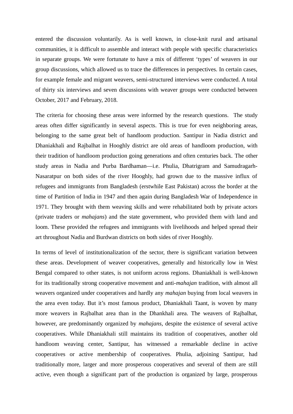entered the discussion voluntarily. As is well known, in close-knit rural and artisanal communities, it is difficult to assemble and interact with people with specific characteristics in separate groups. We were fortunate to have a mix of different 'types' of weavers in our group discussions, which allowed us to trace the differences in perspectives. In certain cases, for example female and migrant weavers, semi-structured interviews were conducted. A total of thirty six interviews and seven discussions with weaver groups were conducted between October, 2017 and February, 2018.

The criteria for choosing these areas were informed by the research questions. The study areas often differ significantly in several aspects. This is true for even neighboring areas, belonging to the same great belt of handloom production. Santipur in Nadia district and Dhaniakhali and Rajbalhat in Hooghly district are old areas of handloom production, with their tradition of handloom production going generations and often centuries back. The other study areas in Nadia and Purba Bardhaman—i.e. Phulia, Dhatrigram and Samudragarh-Nasaratpur on both sides of the river Hooghly, had grown due to the massive influx of refugees and immigrants from Bangladesh (erstwhile East Pakistan) across the border at the time of Partition of India in 1947 and then again during Bangladesh War of Independence in 1971. They brought with them weaving skills and were rehabilitated both by private actors (private traders or *mahajans*) and the state government, who provided them with land and loom. These provided the refugees and immigrants with livelihoods and helped spread their art throughout Nadia and Burdwan districts on both sides of river Hooghly.

In terms of level of institutionalization of the sector, there is significant variation between these areas. Development of weaver cooperatives, generally and historically low in West Bengal compared to other states, is not uniform across regions. Dhaniakhali is well-known for its traditionally strong cooperative movement and anti-*mahajan* tradition, with almost all weavers organized under cooperatives and hardly any *mahajan* buying from local weavers in the area even today. But it's most famous product, Dhaniakhali Taant, is woven by many more weavers in Rajbalhat area than in the Dhankhali area. The weavers of Rajbalhat, however, are predominantly organized by *mahajans*, despite the existence of several active cooperatives. While Dhaniakhali still maintains its tradition of cooperatives, another old handloom weaving center, Santipur, has witnessed a remarkable decline in active cooperatives or active membership of cooperatives. Phulia, adjoining Santipur, had traditionally more, larger and more prosperous cooperatives and several of them are still active, even though a significant part of the production is organized by large, prosperous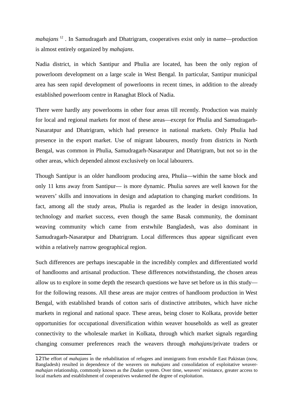*mahajans* 12 . In Samudragarh and Dhatrigram, cooperatives exist only in name—production is almost entirely organized by *mahajans*.

Nadia district, in which Santipur and Phulia are located, has been the only region of powerloom development on a large scale in West Bengal. In particular, Santipur municipal area has seen rapid development of powerlooms in recent times, in addition to the already established powerloom centre in Ranaghat Block of Nadia.

There were hardly any powerlooms in other four areas till recently. Production was mainly for local and regional markets for most of these areas—except for Phulia and Samudragarh-Nasaratpur and Dhatrigram, which had presence in national markets. Only Phulia had presence in the export market. Use of migrant labourers, mostly from districts in North Bengal, was common in Phulia, Samudragarh-Nasaratpur and Dhatrigram, but not so in the other areas, which depended almost exclusively on local labourers.

Though Santipur is an older handloom producing area, Phulia—within the same block and only 11 kms away from Santipur— is more dynamic. Phulia *saree*s are well known for the weavers' skills and innovations in design and adaptation to changing market conditions. In fact, among all the study areas, Phulia is regarded as the leader in design innovation, technology and market success, even though the same Basak community, the dominant weaving community which came from erstwhile Bangladesh, was also dominant in Samudragarh-Nasaratpur and Dhatrigram. Local differences thus appear significant even within a relatively narrow geographical region.

Such differences are perhaps inescapable in the incredibly complex and differentiated world of handlooms and artisanal production. These differences notwithstanding, the chosen areas allow us to explore in some depth the research questions we have set before us in this study for the following reasons. All these areas are major centres of handloom production in West Bengal, with established brands of cotton saris of distinctive attributes, which have niche markets in regional and national space. These areas, being closer to Kolkata, provide better opportunities for occupational diversification within weaver households as well as greater connectivity to the wholesale market in Kolkata, through which market signals regarding changing consumer preferences reach the weavers through *mahajans*/private traders or

<sup>12</sup>The effort of *mahajans* in the rehabilitation of refugees and immigrants from erstwhile East Pakistan (now, Bangladesh) resulted in dependence of the weavers on *mahajans* and consolidation of exploitative weaver*mahajan* relationship, commonly known as the *Dadan* system. Over time, weavers' resistance, greater access to local markets and establishment of cooperatives weakened the degree of exploitation.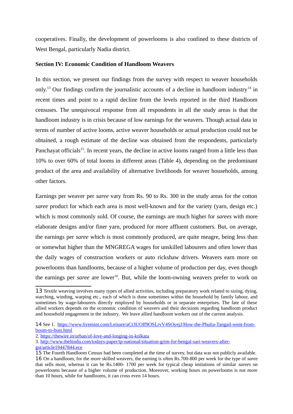cooperatives. Finally, the development of powerlooms is also confined to these districts of West Bengal, particularly Nadia district.

#### **Section IV: Economic Condition of Handloom Weavers**

In this section, we present our findings from the survey with respect to weaver households only.<sup>13</sup> Our findings confirm the journalistic accounts of a decline in handloom industry<sup>14</sup> in recent times and point to a rapid decline from the levels reported in the third Handloom censuses. The unequivocal response from all respondents in all the study areas is that the handloom industry is in crisis because of low earnings for the weavers. Though actual data in terms of number of active looms, active weaver households or actual production could not be obtained, a rough estimate of the decline was obtained from the respondents, particularly Panchayat officials<sup>15</sup>. In recent years, the decline in active looms ranged from a little less than 10% to over 60% of total looms in different areas (Table 4), depending on the predominant product of the area and availability of alternative livelihoods for weaver households, among other factors.

Earnings per weaver per *saree* vary from Rs. 90 to Rs. 300 in the study areas for the cotton *saree* product for which each area is most well-known and for the variety (yarn, design etc.) which is most commonly sold. Of course, the earnings are much higher for *sarees* with more elaborate designs and/or finer yarn, produced for more affluent customers. But, on average, the earnings per *saree* which is most commonly produced, are quite meagre, being less than or somewhat higher than the MNGREGA wages for unskilled labourers and often lower than the daily wages of construction workers or auto rickshaw drivers. Weavers earn more on powerlooms than handlooms, because of a higher volume of production per day, even though the earnings per *saree* are lower<sup>16</sup>. But, while the loom-owning weavers prefer to work on

<sup>13</sup> Textile weaving involves many types of allied activities, including preparatory work related to sizing, dying, starching, winding, warping etc., each of which is done sometimes within the household by family labour, and sometimes by wage-labourers directly employed by households or in separate enterprises. The fate of these allied workers depends on the economic condition of weavers and their decisions regarding handloom product and household engagement in the industry. We leave allied handloom workers out of the current analysis.

<sup>14</sup> See 1. https://www.livemint.com/Leisure/aCt3UOff9OSLrvV4SOyejJ/How-the-Phulia-Tangail-went-fromboom-to-bust.html

<sup>2.</sup> https://thewire.in/urban/of-love-and-longing-in-kolkata

<sup>3.</sup> http://www.thehindu.com/todays-paper/tp-national/situation-grim-for-bengal-sari-weavers-after-

gst/article19447844.ece

<sup>15</sup> The Fourth Handloom Census had been completed at the time of survey, but data was not publicly available. 16 On a handloom, for the more skilled weavers, the earning is often Rs.700-800 per week for the type of *saree* that sells most, whereas it can be Rs.1400- 1700 per week for typical cheap imitations of similar *saree*s on powerlooms because of a higher volume of production. Moreover, working hours on powerlooms is not more than 10 hours, while for handlooms, it can cross even 14 hours.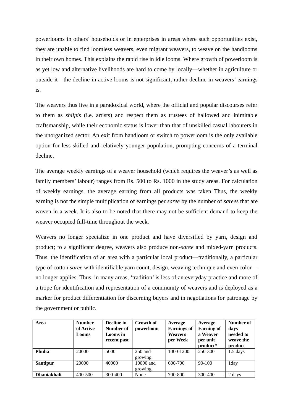powerlooms in others' households or in enterprises in areas where such opportunities exist, they are unable to find loomless weavers, even migrant weavers, to weave on the handlooms in their own homes. This explains the rapid rise in idle looms. Where growth of powerloom is as yet low and alternative livelihoods are hard to come by locally—whether in agriculture or outside it—the decline in active looms is not significant, rather decline in weavers' earnings is.

The weavers thus live in a paradoxical world, where the official and popular discourses refer to them as *shilpis* (i.e. artists) and respect them as trustees of hallowed and inimitable craftsmanship, while their economic status is lower than that of unskilled casual labourers in the unorganized sector. An exit from handloom or switch to powerloom is the only available option for less skilled and relatively younger population, prompting concerns of a terminal decline.

The average weekly earnings of a weaver household (which requires the weaver's as well as family members' labour) ranges from Rs. 500 to Rs. 1000 in the study areas. For calculation of weekly earnings, the average earning from all products was taken Thus, the weekly earning is not the simple multiplication of earnings per *saree* by the number of *saree*s that are woven in a week. It is also to be noted that there may not be sufficient demand to keep the weaver occupied full-time throughout the week.

Weavers no longer specialize in one product and have diversified by yarn, design and product; to a significant degree, weavers also produce non-*saree* and mixed-yarn products. Thus, the identification of an area with a particular local product—traditionally, a particular type of cotton *saree* with identifiable yarn count, design, weaving technique and even color no longer applies. Thus, in many areas, 'tradition' is less of an everyday practice and more of a trope for identification and representation of a community of weavers and is deployed as a marker for product differentiation for discerning buyers and in negotiations for patronage by the government or public.

| Area               | <b>Number</b><br>of Active<br>Looms | Decline in<br>Number of<br>Looms in<br>recent past | Growth of<br>powerloom | Average<br><b>Earnings of</b><br><b>Weavers</b><br>per Week | Average<br><b>Earning of</b><br>a Weaver<br>per unit<br>product* | Number of<br>days<br>needed to<br>weave the<br>product |
|--------------------|-------------------------------------|----------------------------------------------------|------------------------|-------------------------------------------------------------|------------------------------------------------------------------|--------------------------------------------------------|
| Phulia             | 20000                               | 5000                                               | $250$ and              | 1000-1200                                                   | 250-300                                                          | $1.5$ days                                             |
|                    |                                     |                                                    | growing                |                                                             |                                                                  |                                                        |
| Santipur           | 20000                               | 40000                                              | 10000 and              | 600-700                                                     | 90-100                                                           | 1day                                                   |
|                    |                                     |                                                    | growing                |                                                             |                                                                  |                                                        |
| <b>Dhaniakhali</b> | 400-500                             | 300-400                                            | None                   | 700-800                                                     | 300-400                                                          | 2 days                                                 |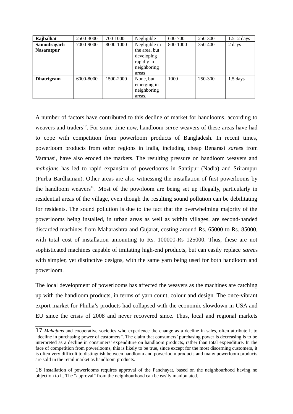| Rajbalhat         | 2500-3000 | 700-1000  | Negligible    | 600-700  | 250-300 | $1.5 - 2$ days |
|-------------------|-----------|-----------|---------------|----------|---------|----------------|
| Samudragarh-      | 7000-9000 | 8000-1000 | Negligible in | 800-1000 | 350-400 | 2 days         |
| <b>Nasaratpur</b> |           |           | the area, but |          |         |                |
|                   |           |           | developing    |          |         |                |
|                   |           |           | rapidly in    |          |         |                |
|                   |           |           | neighboring   |          |         |                |
|                   |           |           | areas         |          |         |                |
| Dhatrigram        | 6000-8000 | 1500-2000 | None, but     | 1000     | 250-300 | $1.5$ days     |
|                   |           |           | emerging in   |          |         |                |
|                   |           |           | neighboring   |          |         |                |
|                   |           |           | areas.        |          |         |                |

A number of factors have contributed to this decline of market for handlooms, according to weavers and traders<sup>17</sup>. For some time now, handloom *saree* weavers of these areas have had to cope with competition from powerloom products of Bangladesh. In recent times, powerloom products from other regions in India, including cheap Benarasi *saree*s from Varanasi, have also eroded the markets. The resulting pressure on handloom weavers and *mahajan*s has led to rapid expansion of powerlooms in Santipur (Nadia) and Srirampur (Purba Bardhaman). Other areas are also witnessing the installation of first powerlooms by the handloom weavers $18$ . Most of the powrloom are being set up illegally, particularly in residential areas of the village, even though the resulting sound pollution can be debilitating for residents. The sound pollution is due to the fact that the overwhelming majority of the powerlooms being installed, in urban areas as well as within villages, are second-handed discarded machines from Maharashtra and Gujarat, costing around Rs. 65000 to Rs. 85000, with total cost of installation amounting to Rs. 100000-Rs 125000. Thus, these are not sophisticated machines capable of imitating high-end products, but can easily replace *saree*s with simpler, yet distinctive designs, with the same yarn being used for both handloom and powerloom.

The local development of powerlooms has affected the weavers as the machines are catching up with the handloom products, in terms of yarn count, colour and design. The once-vibrant export market for Phulia's products had collapsed with the economic slowdown in USA and EU since the crisis of 2008 and never recovered since. Thus, local and regional markets

<sup>17</sup> *Mahajan*s and cooperative societies who experience the change as a decline in sales, often attribute it to "decline in purchasing power of customers". The claim that consumers' purchasing power is decreasing is to be interpreted as a decline in consumers' expenditure on handloom products, rather than total expenditure. In the face of competition from powerlooms, this is likely to be true, since except for the most discerning customers, it is often very difficult to distinguish between handloom and powerloom products and many powerloom products are sold in the retail market as handloom products.

<sup>18</sup> Installation of powerlooms requires approval of the Panchayat, based on the neighbourhood having no objection to it. The "approval" from the neighbourhood can be easily manipulated.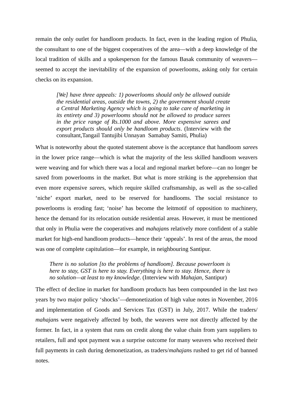remain the only outlet for handloom products. In fact, even in the leading region of Phulia, the consultant to one of the biggest cooperatives of the area—with a deep knowledge of the local tradition of skills and a spokesperson for the famous Basak community of weavers seemed to accept the inevitability of the expansion of powerlooms, asking only for certain checks on its expansion.

*[We] have three appeals: 1) powerlooms should only be allowed outside the residential areas, outside the towns, 2) the government should create a Central Marketing Agency which is going to take care of marketing in its entirety and 3) powerlooms should not be allowed to produce sarees in the price range of Rs.1000 and above. More expensive sarees and export products should only be handloom products*. (Interview with the consultant,Tangail Tantujibi Unnayan Samabay Samiti, Phulia)

What is noteworthy about the quoted statement above is the acceptance that handloom *saree*s in the lower price range—which is what the majority of the less skilled handloom weavers were weaving and for which there was a local and regional market before—can no longer be saved from powerlooms in the market. But what is more striking is the apprehension that even more expensive *saree*s, which require skilled craftsmanship, as well as the so-called 'niche' export market, need to be reserved for handlooms. The social resistance to powerlooms is eroding fast; 'noise' has become the leitmotif of opposition to machinery, hence the demand for its relocation outside residential areas. However, it must be mentioned that only in Phulia were the cooperatives and *mahajan*s relatively more confident of a stable market for high-end handloom products—hence their 'appeals'. In rest of the areas, the mood was one of complete capitulation—for example, in neighbouring Santipur.

*There is no solution [to the problems of handloom]. Because powerloom is here to stay, GST is here to stay. Everything is here to stay. Hence, there is no solution—at least to my knowledge*. (Interview with *Mahajan*, Santipur)

The effect of decline in market for handloom products has been compounded in the last two years by two major policy 'shocks'—demonetization of high value notes in November, 2016 and implementation of Goods and Services Tax (GST) in July, 2017. While the traders/ *mahajan*s were negatively affected by both, the weavers were not directly affected by the former. In fact, in a system that runs on credit along the value chain from yarn suppliers to retailers, full and spot payment was a surprise outcome for many weavers who received their full payments in cash during demonetization, as traders/*mahajan*s rushed to get rid of banned notes.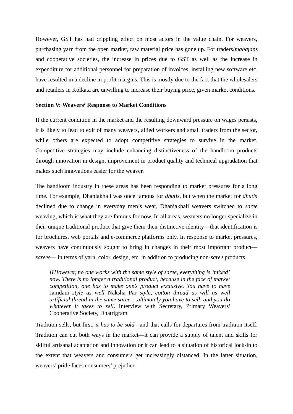However, GST has had crippling effect on most actors in the value chain. For weavers, purchasing yarn from the open market, raw material price has gone up. For traders/*mahajan*s and cooperative societies, the increase in prices due to GST as well as the increase in expenditure for additional personnel for preparation of invoices, installing new software etc. have resulted in a decline in profit margins. This is mostly due to the fact that the wholesalers and retailers in Kolkata are unwilling to increase their buying price, given market conditions.

#### **Section V: Weavers' Response to Market Conditions**

If the current condition in the market and the resulting downward pressure on wages persists, it is likely to lead to exit of many weavers, allied workers and small traders from the sector, while others are expected to adopt competitive strategies to survive in the market. Competitive strategies may include enhancing distinctiveness of the handloom products through innovation in design, improvement in product quality and technical upgradation that makes such innovations easier for the weaver.

The handloom industry in these areas has been responding to market pressures for a long time. For example, Dhaniakhali was once famous for *dhutis*, but when the market for *dhutis* declined due to change in everyday men's wear, Dhaniakhali weavers switched to *saree* weaving, which is what they are famous for now. In all areas, weavers no longer specialize in their unique traditional product that give them their distinctive identity—that identification is for brochures, web portals and e-commerce platforms only. In response to market pressures, weavers have continuously sought to bring in changes in their most important product *saree*s— in terms of yarn, color, design, etc. in addition to producing non-*saree* products.

*[H]owever, no one works with the same style of saree, everything is 'mixed' now. There is no longer a traditional product, because in the face of market competition, one has to make one's product exclusive. You have to have* Jamdani *style as well* Naksha Par *style, cotton thread as will as well artificial thread in the same saree….ultimately you have to sell, and you do whatever it takes to sell*. Interview with Secretary, Primary Weavers' Cooperative Society, Dhatrigram

Tradition sells, but first, *it has to be sold—*and that calls for departures from tradition itself. Tradition can cut both ways in the market—it can provide a supply of talent and skills for skilful artisanal adaptation and innovation or it can lead to a situation of historical lock-in to the extent that weavers and consumers get increasingly distanced. In the latter situation, weavers' pride faces consumers' prejudice.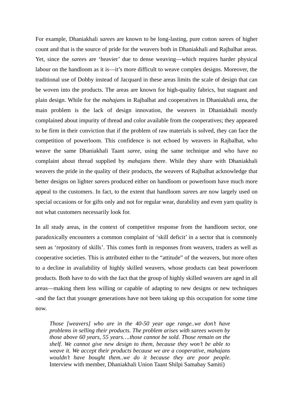For example, Dhaniakhali *saree*s are known to be long-lasting, pure cotton *saree*s of higher count and that is the source of pride for the weavers both in Dhaniakhali and Rajbalhat areas. Yet, since the *saree*s are 'heavier' due to dense weaving—which requires harder physical labour on the handloom as it is—it's more difficult to weave complex designs. Moreover, the traditional use of Dobby instead of Jacquard in these areas limits the scale of design that can be woven into the products. The areas are known for high-quality fabrics, but stagnant and plain design. While for the *mahajan*s in Rajbalhat and cooperatives in Dhaniakhali area, the main problem is the lack of design innovation, the weavers in Dhaniakhali mostly complained about impurity of thread and color available from the cooperatives; they appeared to be firm in their conviction that if the problem of raw materials is solved, they can face the competition of powerloom. This confidence is not echoed by weavers in Rajbalhat, who weave the same Dhaniakhali Taant *saree*, using the same technique and who have no complaint about thread supplied by *mahajan*s there. While they share with Dhaniakhali weavers the pride in the quality of their products, the weavers of Rajbalhat acknowledge that better designs on lighter *saree*s produced either on handloom or powerloom have much more appeal to the customers. In fact, to the extent that handloom *saree*s are now largely used on special occasions or for gifts only and not for regular wear, durability and even yarn quality is not what customers necessarily look for.

In all study areas, in the context of competitive response from the handloom sector, one paradoxically encounters a common complaint of 'skill deficit' in a sector that is commonly seen as 'repository of skills'. This comes forth in responses from weavers, traders as well as cooperative societies. This is attributed either to the "attitude" of the weavers, but more often to a decline in availability of highly skilled weavers, whose products can beat powerloom products. Both have to do with the fact that the group of highly skilled weavers are aged in all areas—making them less willing or capable of adapting to new designs or new techniques -and the fact that younger generations have not been taking up this occupation for some time now.

*Those [weavers] who are in the 40-50 year age range..we don't have problems in selling their products. The problem arises with sarees woven by those above 60 years, 55 years….those cannot be sold. Those remain on the shelf. We cannot give new design to them, because they won't be able to weave it. We accept their products because we are a cooperative, mahajans wouldn't have bought them..we do it because they are poor people.* Interview with member, Dhaniakhali Union Taant Shilpi Samabay Samiti)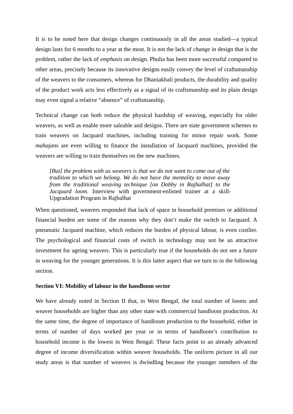It is to be noted here that design changes continuously in all the areas studied—a typical design lasts for 6 months to a year at the most. It is not the lack of *change* in design that is the problem, rather the lack of *emphasis* on design. Phulia has been more successful compared to other areas, precisely because its innovative designs easily convey the level of craftsmanship of the weavers to the consumers, whereas for Dhaniakhali products, the durability and quality of the product work acts less effectively as a signal of its craftsmanship and its plain design may even signal a relative "absence" of craftsmanship.

Technical change can both reduce the physical hardship of weaving, especially for older weavers, as well as enable more saleable and designs. There are state government schemes to train weavers on Jacquard machines, including training for minor repair work. Some *mahajan*s are even willing to finance the installation of Jacquard machines, provided the weavers are willing to train themselves on the new machines.

*[But] the problem with us weavers is that we do not want to come out of the tradition to which we belong. We do not have the mentality to move away from the traditional weaving technique [on Dobby in Rajbalhat] to the Jacquard loom.* Interview with government-enlisted trainer at a skill-Upgradation Program in Rajbalhat

When questioned, weavers responded that lack of space in household premises or additional financial burden are some of the reasons why they don't make the switch to Jacquard. A pneumatic Jacquard machine, which reduces the burden of physical labour, is even costlier. The psychological and financial costs of switch in technology may not be an attractive investment for ageing weavers. This is particularly true if the households do not see a future in weaving for the younger generations. It is this latter aspect that we turn to in the following section.

#### **Section VI: Mobility of labour in the handloom sector**

We have already noted in Section II that, in West Bengal, the total number of looms and weaver households are higher than any other state with commercial handloom production. At the same time, the degree of importance of handloom production to the household, either in terms of number of days worked per year or in terms of handloom's contribution to household income is the lowest in West Bengal. These facts point to an already advanced degree of income diversification within weaver households. The uniform picture in all our study areas is that number of weavers is dwindling because the younger members of the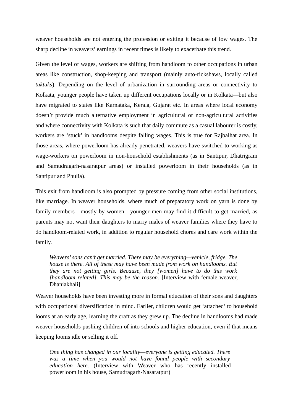weaver households are not entering the profession or exiting it because of low wages. The sharp decline in weavers' earnings in recent times is likely to exacerbate this trend.

Given the level of wages, workers are shifting from handloom to other occupations in urban areas like construction, shop-keeping and transport (mainly auto-rickshaws, locally called *tuktuks*). Depending on the level of urbanization in surrounding areas or connectivity to Kolkata, younger people have taken up different occupations locally or in Kolkata—but also have migrated to states like Karnataka, Kerala, Gujarat etc. In areas where local economy doesn't provide much alternative employment in agricultural or non-agricultural activities and where connectivity with Kolkata is such that daily commute as a casual labourer is costly, workers are 'stuck' in handlooms despite falling wages. This is true for Rajbalhat area. In those areas, where powerloom has already penetrated, weavers have switched to working as wage-workers on powerloom in non-household establishments (as in Santipur, Dhatrigram and Samudragarh-nasaratpur areas) or installed powerloom in their households (as in Santipur and Phulia).

This exit from handloom is also prompted by pressure coming from other social institutions, like marriage. In weaver households, where much of preparatory work on yarn is done by family members—mostly by women—younger men may find it difficult to get married, as parents may not want their daughters to marry males of weaver families where they have to do handloom-related work, in addition to regular household chores and care work within the family.

*Weavers' sons can't get married. There may be everything—vehicle, fridge. The house is there. All of these may have been made from work on handlooms. But they are not getting girls. Because, they [women] have to do this work [handloom related]. This may be the reason.* [Interview with female weaver, Dhaniakhali]

Weaver households have been investing more in formal education of their sons and daughters with occupational diversification in mind. Earlier, children would get 'attached' to household looms at an early age, learning the craft as they grew up. The decline in handlooms had made weaver households pushing children of into schools and higher education, even if that means keeping looms idle or selling it off.

*One thing has changed in our locality—everyone is getting educated. There was a time when you would not have found people with secondary education here.* (Interview with Weaver who has recently installed powerloom in his house, Samudragarh-Nasaratpur)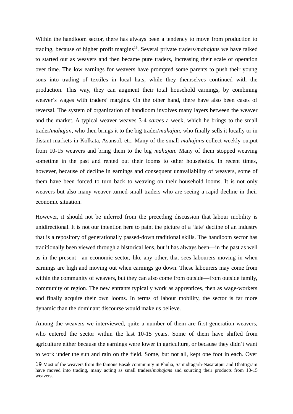Within the handloom sector, there has always been a tendency to move from production to trading, because of higher profit margins<sup>19</sup>. Several private traders/*mahajans* we have talked to started out as weavers and then became pure traders, increasing their scale of operation over time. The low earnings for weavers have prompted some parents to push their young sons into trading of textiles in local hats, while they themselves continued with the production. This way, they can augment their total household earnings, by combining weaver's wages with traders' margins. On the other hand, there have also been cases of reversal. The system of organization of handloom involves many layers between the weaver and the market. A typical weaver weaves 3-4 *saree*s a week, which he brings to the small trader/*mahajan*, who then brings it to the big trader/*mahajan*, who finally sells it locally or in distant markets in Kolkata, Asansol, etc. Many of the small *mahajan*s collect weekly output from 10-15 weavers and bring them to the big *mahajan*. Many of them stopped weaving sometime in the past and rented out their looms to other households. In recent times, however, because of decline in earnings and consequent unavailability of weavers, some of them have been forced to turn back to weaving on their household looms. It is not only weavers but also many weaver-turned-small traders who are seeing a rapid decline in their economic situation.

However, it should not be inferred from the preceding discussion that labour mobility is unidirectional. It is not our intention here to paint the picture of a 'late' decline of an industry that is a repository of generationally passed-down traditional skills. The handloom sector has traditionally been viewed through a historical lens, but it has always been—in the past as well as in the present—an economic sector, like any other, that sees labourers moving in when earnings are high and moving out when earnings go down. These labourers may come from within the community of weavers, but they can also come from outside—from outside family, community or region. The new entrants typically work as apprentices, then as wage-workers and finally acquire their own looms. In terms of labour mobility, the sector is far more dynamic than the dominant discourse would make us believe.

Among the weavers we interviewed, quite a number of them are first-generation weavers, who entered the sector within the last 10-15 years. Some of them have shifted from agriculture either because the earnings were lower in agriculture, or because they didn't want to work under the sun and rain on the field. Some, but not all, kept one foot in each. Over

<sup>19</sup> Most of the weavers from the famous Basak community in Phulia, Samudragarh-Nasaratpur and Dhatrigram have moved into trading, many acting as small traders/*mahajan*s and sourcing their products from 10-15 weavers.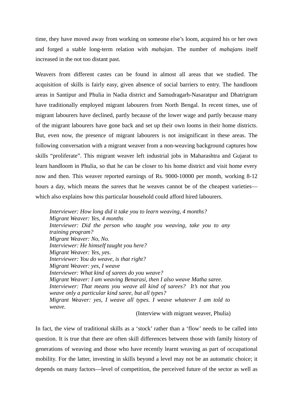time, they have moved away from working on someone else's loom, acquired his or her own and forged a stable long-term relation with *mahajan*. The number of *mahajan*s itself increased in the not too distant past.

Weavers from different castes can be found in almost all areas that we studied. The acquisition of skills is fairly easy, given absence of social barriers to entry. The handloom areas in Santipur and Phulia in Nadia district and Samudragarh-Nasaratpur and Dhatrigram have traditionally employed migrant labourers from North Bengal. In recent times, use of migrant labourers have declined, partly because of the lower wage and partly because many of the migrant labourers have gone back and set up their own looms in their home districts. But, even now, the presence of migrant labourers is not insignificant in these areas. The following conversation with a migrant weaver from a non-weaving background captures how skills "proliferate". This migrant weaver left industrial jobs in Maharashtra and Gujarat to learn handloom in Phulia, so that he can be closer to his home district and visit home every now and then. This weaver reported earnings of Rs. 9000-10000 per month, working 8-12 hours a day, which means the *saree*s that he weaves cannot be of the cheapest varieties which also explains how this particular household could afford hired labourers.

*Interviewer: How long did it take you to learn weaving, 4 months? Migrant Weaver: Yes, 4 months Interviewer: Did the person who taught you weaving, take you to any training program? Migrant Weaver: No, No. Interviewer: He himself taught you here? Migrant Weaver: Yes, yes. Interviewer: You do weave, is that right? Migrant Weaver: yes, I weave Interviewer: What kind of sarees do you weave? Migrant Weaver: I am weaving Benarasi, then I also weave Matha saree. Interviewer: That means you weave all kind of sarees? It's not that you weave only a particular kind saree, but all types? Migrant Weaver: yes, I weave all types. I weave whatever I am told to weave.* 

(Interview with migrant weaver, Phulia)

In fact, the view of traditional skills as a 'stock' rather than a 'flow' needs to be called into question. It is true that there are often skill differences between those with family history of generations of weaving and those who have recently learnt weaving as part of occupational mobility. For the latter, investing in skills beyond a level may not be an automatic choice; it depends on many factors—level of competition, the perceived future of the sector as well as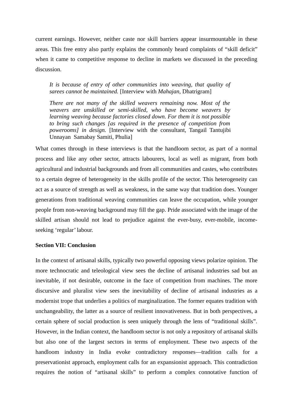current earnings. However, neither caste nor skill barriers appear insurmountable in these areas. This free entry also partly explains the commonly heard complaints of "skill deficit" when it came to competitive response to decline in markets we discussed in the preceding discussion.

*It is because of entry of other communities into weaving, that quality of sarees cannot be maintained.* [Interview with *Mahajan*, Dhatrigram]

*There are not many of the skilled weavers remaining now. Most of the weavers are unskilled or semi-skilled, who have become weavers by learning weaving because factories closed down. For them it is not possible to bring such changes [as required in the presence of competition from powerooms] in design.* [Interview with the consultant, Tangail Tantujibi Unnayan Samabay Samiti, Phulia]

What comes through in these interviews is that the handloom sector, as part of a normal process and like any other sector, attracts labourers, local as well as migrant, from both agricultural and industrial backgrounds and from all communities and castes, who contributes to a certain degree of heterogeneity in the skills profile of the sector. This heterogeneity can act as a source of strength as well as weakness, in the same way that tradition does. Younger generations from traditional weaving communities can leave the occupation, while younger people from non-weaving background may fill the gap. Pride associated with the image of the skilled artisan should not lead to prejudice against the ever-busy, ever-mobile, incomeseeking 'regular' labour.

#### **Section VII: Conclusion**

In the context of artisanal skills, typically two powerful opposing views polarize opinion. The more technocratic and teleological view sees the decline of artisanal industries sad but an inevitable, if not desirable, outcome in the face of competition from machines. The more discursive and pluralist view sees the inevitability of decline of artisanal industries as a modernist trope that underlies a politics of marginalization. The former equates tradition with unchangeability, the latter as a source of resilient innovativeness. But in both perspectives, a certain sphere of social production is seen uniquely through the lens of "traditional skills". However, in the Indian context, the handloom sector is not only a repository of artisanal skills but also one of the largest sectors in terms of employment. These two aspects of the handloom industry in India evoke contradictory responses—tradition calls for a preservationist approach, employment calls for an expansionist approach. This contradiction requires the notion of "artisanal skills" to perform a complex connotative function of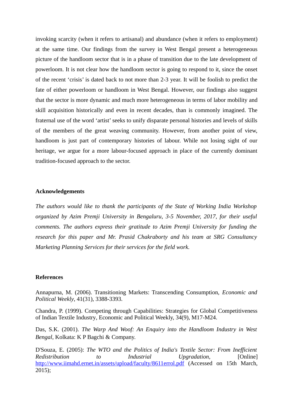invoking scarcity (when it refers to artisanal) and abundance (when it refers to employment) at the same time. Our findings from the survey in West Bengal present a heterogeneous picture of the handloom sector that is in a phase of transition due to the late development of powerloom. It is not clear how the handloom sector is going to respond to it, since the onset of the recent 'crisis' is dated back to not more than 2-3 year. It will be foolish to predict the fate of either powerloom or handloom in West Bengal. However, our findings also suggest that the sector is more dynamic and much more heterogeneous in terms of labor mobility and skill acquisition historically and even in recent decades, than is commonly imagined. The fraternal use of the word 'artist' seeks to unify disparate personal histories and levels of skills of the members of the great weaving community. However, from another point of view, handloom is just part of contemporary histories of labour. While not losing sight of our heritage, we argue for a more labour-focused approach in place of the currently dominant tradition-focused approach to the sector.

#### **Acknowledgements**

*The authors would like to thank the participants of the State of Working India Workshop organized by Azim Premji University in Bengaluru, 3-5 November, 2017, for their useful comments. The authors express their gratitude to Azim Premji University for funding the research for this paper and Mr. Prasid Chakraborty and his team at SRG Consultancy Marketing Planning Services for their services for the field work.* 

#### **References**

Annapurna, M. (2006). Transitioning Markets: Transcending Consumption, *Economic and Political Weekly*, 41(31), 3388-3393.

Chandra, P. (1999). Competing through Capabilities: Strategies for Global Competitiveness of Indian Textile Industry*,* Economic and Political Weekly, 34(9), M17-M24.

Das, S.K. (2001). *The Warp And Woof: An Enquiry into the Handloom Industry in West Bengal*, Kolkata: K P Bagchi & Company.

D'Souza, E. (2005): *The WTO and the Politics of India's Textile Sector: From Inefficient Redistribution to Industrial Upgradation,* [Online] http://www.iimahd.ernet.in/assets/upload/faculty/8611errol.pdf (Accessed on 15th March, 2015);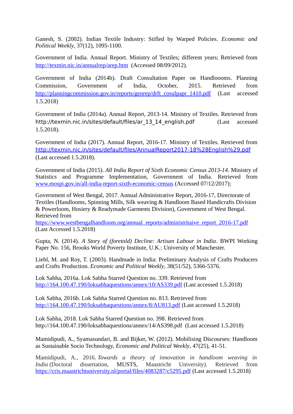Ganesh, S. (2002). Indian Textile Industry: Stifled by Warped Policies. *Economic and Political Weekly*, 37(12), 1095-1100.

Government of India. Annual Report. Ministry of Textiles; different years; Retrieved from http://texmin.nic.in/annualrep/arep.htm (Accessed 08/09/2012).

Government of India (2014b). Draft Consultation Paper on Handloooms. Planning Commission, Government of India, October, 2015. Retrieved from http://planningcommission.gov.in/reports/genrep/drft\_cosulpapr\_1410.pdf (Last accessed 1.5.2018)

Government of India (2014a). Annual Report, 2013-14. Ministry of Textiles. Retrieved from http://texmin.nic.in/sites/default/files/ar\_13\_14\_english.pdf (Last accessed 1.5.2018).

Government of India (2017). Annual Report, 2016-17. Ministry of Textiles. Retrieved from http://texmin.nic.in/sites/default/files/AnnualReport2017-18%28English%29.pdf (Last accessed 1.5.2018).

Government of India (2015). *All India Report of Sixth Economic Census 2013-14*. Ministry of Statistics and Programme Implementation, Government of India. Retrieved from www.mospi.gov.in/all-india-report-sixth-economic-census (Accessed 07/12/2017);

Government of West Bengal, 2017. Annual Administrative Report, 2016-17, Directorate of Textiles (Handlooms, Spinning Mills, Silk weaving & Handloom Based Handicrafts Division & Powerloom, Hosiery & Readymade Garments Division), Government of West Bengal. Retrieved from

https://www.westbengalhandloom.org/annual\_reports/administritaive\_report\_2016-17.pdf (Last Accessed 1.5.2018)

Gupta, N. (2014). *A Story of (foretold) Decline: Artisan Labour in India*. BWPI Working Paper No. 156, Brooks World Poverty Institute, U.K.: University of Manchester.

Liebl, M. and Roy, T. (2003). Handmade in India: Preliminary Analysis of Crafts Producers and Crafts Production. *Economic and Political Weekly*, 38(51/52), 5366-5376.

Lok Sabha, 2016a. Lok Sabha Starred Question no. 339. Retrieved from http://164.100.47.190/loksabhaquestions/annex/10/AS339.pdf (Last accessed 1.5.2018)

Lok Sabha, 2016b. Lok Sabha Starred Question no. 813. Retrieved from http://164.100.47.190/loksabhaquestions/annex/8/AU813.pdf (Last accessed 1.5.2018)

Lok Sabha, 2018. Lok Sabha Starred Question no. 398. Retrieved from http://164.100.47.190/loksabhaquestions/annex/14/AS398.pdf (Last accessed 1.5.2018)

Mamidipudi, A., Syamasundari, B. and Bijker, W. (2012). Mobilising Discourses: Handloom as Sustainable Socio Technology, *Economic and Political Weekly*, 47(25), 41-51.

Mamidipudi, A., 2016. *Towards a theory of innovation in handloom weaving in India* (Doctoral dissertation, MUSTS, Maastricht University). Retrieved from https://cris.maastrichtuniversity.nl/portal/files/4083287/c5295.pdf (Last accessed 1.5.2018)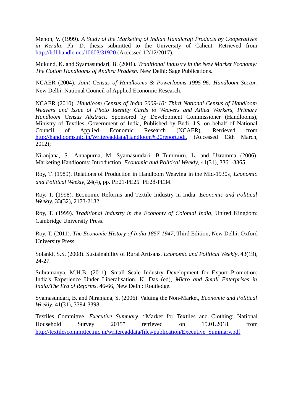Menon, V. (1999). *A Study of the Marketing of Indian Handicraft Products by Cooperatives in Kerala*. Ph. D. thesis submitted to the University of Calicut. Retrieved from http://hdl.handle.net/10603/31920 (Accessed 12/12/2017).

Mukund, K. and Syamasundari, B. (2001). *Traditional Industry in the New Market Economy: The Cotton Handlooms of Andhra Pradesh*. New Delhi: Sage Publications.

NCAER (2004). *Joint Census of Handlooms & Powerlooms 1995-96: Handloom Sector*, New Delhi: National Council of Applied Economic Research.

NCAER (2010). *Handloom Census of India 2009-10: Third National Census of Handloom Weavers and Issue of Photo Identity Cards to Weavers and Allied Workers, Primary Handloom Census Abstract*. Sponsored by Development Commissioner (Handlooms), Ministry of Textiles, Government of India, Published by Bedi, J.S. on behalf of National Council of Applied Economic Research (NCAER), Retrieved from http://handlooms.nic.in/Writereaddata/Handloom%20report.pdf, (Accessed 13th March, 2012);

Niranjana, S., Annapurna, M. Syamasundari, B.,Tummuru, L. and Uzramma (2006). Marketing Handlooms: Introduction, *Economic and Political Weekly*, 41(31), 3361-3365.

Roy, T. (1989). Relations of Production in Handloom Weaving in the Mid-1930s*, Economic and Political Weekly*, 24(4), pp. PE21-PE25+PE28-PE34.

Roy, T. (1998). Economic Reforms and Textile Industry in India. *Economic and Political Weekly*, 33(32), 2173-2182.

Roy, T. (1999). *Traditional Industry in the Economy of Colonial India*, United Kingdom: Cambridge University Press.

Roy, T. (2011). *The Economic History of India 1857-1947*, Third Edition, New Delhi: Oxford University Press.

Solanki, S.S. (2008). Sustainability of Rural Artisans. *Economic and Political Weekly*, 43(19), 24-27.

Subramanya, M.H.B. (2011). Small Scale Industry Development for Export Promotion: India's Experience Under Liberalisation. K. Das (ed), *Micro and Small Enterprises in India:The Era of Reforms*. 46-66, New Delhi: Routledge.

Syamasundari, B. and Niranjana, S. (2006). Valuing the Non-Market, *Economic and Political Weekly*, 41(31), 3394-3398.

Textiles Committee. *Executive Summary*, "Market for Textiles and Clothing: National Household Survey 2015" retrieved on 15.01.2018. from http://textilescommittee.nic.in/writereaddata/files/publication/Executive\_Summary.pdf